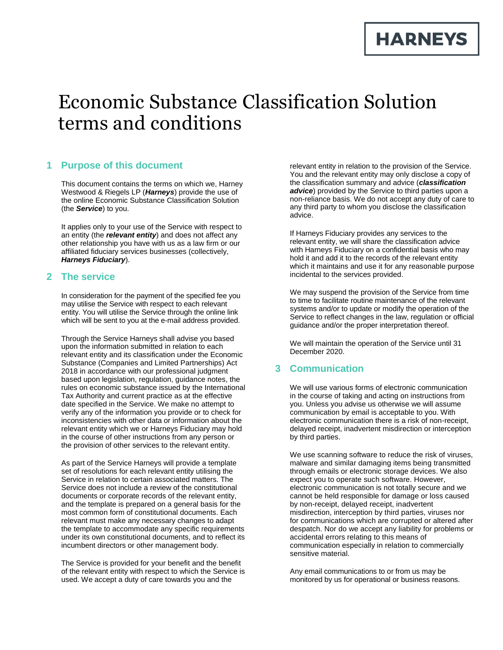# **HARNEYS**

# Economic Substance Classification Solution terms and conditions

### **1 Purpose of this document**

This document contains the terms on which we, Harney Westwood & Riegels LP (*Harneys*) provide the use of the online Economic Substance Classification Solution (the *Service*) to you.

It applies only to your use of the Service with respect to an entity (the *relevant entity*) and does not affect any other relationship you have with us as a law firm or our affiliated fiduciary services businesses (collectively, *Harneys Fiduciary*).

#### **2 The service**

In consideration for the payment of the specified fee you may utilise the Service with respect to each relevant entity. You will utilise the Service through the online link which will be sent to you at the e-mail address provided.

Through the Service Harneys shall advise you based upon the information submitted in relation to each relevant entity and its classification under the Economic Substance (Companies and Limited Partnerships) Act 2018 in accordance with our professional judgment based upon legislation, regulation, guidance notes, the rules on economic substance issued by the International Tax Authority and current practice as at the effective date specified in the Service. We make no attempt to verify any of the information you provide or to check for inconsistencies with other data or information about the relevant entity which we or Harneys Fiduciary may hold in the course of other instructions from any person or the provision of other services to the relevant entity.

As part of the Service Harneys will provide a template set of resolutions for each relevant entity utilising the Service in relation to certain associated matters. The Service does not include a review of the constitutional documents or corporate records of the relevant entity, and the template is prepared on a general basis for the most common form of constitutional documents. Each relevant must make any necessary changes to adapt the template to accommodate any specific requirements under its own constitutional documents, and to reflect its incumbent directors or other management body.

The Service is provided for your benefit and the benefit of the relevant entity with respect to which the Service is used. We accept a duty of care towards you and the

relevant entity in relation to the provision of the Service. You and the relevant entity may only disclose a copy of the classification summary and advice (*classification advice*) provided by the Service to third parties upon a non-reliance basis. We do not accept any duty of care to any third party to whom you disclose the classification advice.

If Harneys Fiduciary provides any services to the relevant entity, we will share the classification advice with Harneys Fiduciary on a confidential basis who may hold it and add it to the records of the relevant entity which it maintains and use it for any reasonable purpose incidental to the services provided.

We may suspend the provision of the Service from time to time to facilitate routine maintenance of the relevant systems and/or to update or modify the operation of the Service to reflect changes in the law, regulation or official guidance and/or the proper interpretation thereof.

We will maintain the operation of the Service until 31 December 2020.

#### **3 Communication**

We will use various forms of electronic communication in the course of taking and acting on instructions from you. Unless you advise us otherwise we will assume communication by email is acceptable to you. With electronic communication there is a risk of non-receipt, delayed receipt, inadvertent misdirection or interception by third parties.

We use scanning software to reduce the risk of viruses, malware and similar damaging items being transmitted through emails or electronic storage devices. We also expect you to operate such software. However, electronic communication is not totally secure and we cannot be held responsible for damage or loss caused by non-receipt, delayed receipt, inadvertent misdirection, interception by third parties, viruses nor for communications which are corrupted or altered after despatch. Nor do we accept any liability for problems or accidental errors relating to this means of communication especially in relation to commercially sensitive material.

Any email communications to or from us may be monitored by us for operational or business reasons.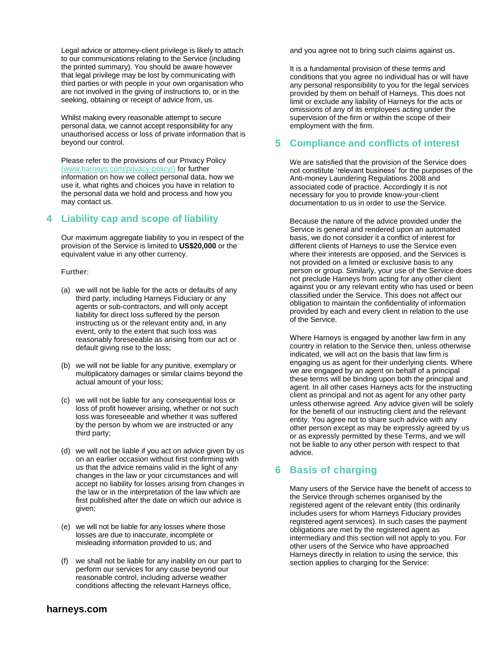Legal advice or attorney-client privilege is likely to attach to our communications relating to the Service (including the printed summary). You should be aware however that legal privilege may be lost by communicating with third parties or with people in your own organisation who are not involved in the giving of instructions to, or in the seeking, obtaining or receipt of advice from, us.

Whilst making every reasonable attempt to secure personal data, we cannot accept responsibility for any unauthorised access or loss of private information that is beyond our control.

Please refer to the provisions of our Privacy Policy [\(www.harneys.com/privacy-policy/\)](http://www.harneys.com/privacy-policy/) for further information on how we collect personal data, how we use it, what rights and choices you have in relation to the personal data we hold and process and how you may contact us.

### **4 Liability cap and scope of liability**

Our maximum aggregate liability to you in respect of the provision of the Service is limited to **US\$20,000** or the equivalent value in any other currency.

#### Further:

- (a) we will not be liable for the acts or defaults of any third party, including Harneys Fiduciary or any agents or sub-contractors, and will only accept liability for direct loss suffered by the person instructing us or the relevant entity and, in any event, only to the extent that such loss was reasonably foreseeable as arising from our act or default giving rise to the loss;
- (b) we will not be liable for any punitive, exemplary or multiplicatory damages or similar claims beyond the actual amount of your loss;
- (c) we will not be liable for any consequential loss or loss of profit however arising, whether or not such loss was foreseeable and whether it was suffered by the person by whom we are instructed or any third party;
- (d) we will not be liable if you act on advice given by us on an earlier occasion without first confirming with us that the advice remains valid in the light of any changes in the law or your circumstances and will accept no liability for losses arising from changes in the law or in the interpretation of the law which are first published after the date on which our advice is given;
- (e) we will not be liable for any losses where those losses are due to inaccurate, incomplete or misleading information provided to us; and
- (f) we shall not be liable for any inability on our part to perform our services for any cause beyond our reasonable control, including adverse weather conditions affecting the relevant Harneys office,

and you agree not to bring such claims against us.

It is a fundamental provision of these terms and conditions that you agree no individual has or will have any personal responsibility to you for the legal services provided by them on behalf of Harneys. This does not limit or exclude any liability of Harneys for the acts or omissions of any of its employees acting under the supervision of the firm or within the scope of their employment with the firm.

#### **5 Compliance and conflicts of interest**

We are satisfied that the provision of the Service does not constitute 'relevant business' for the purposes of the Anti-money Laundering Regulations 2008 and associated code of practice. Accordingly it is not necessary for you to provide know-your-client documentation to us in order to use the Service.

Because the nature of the advice provided under the Service is general and rendered upon an automated basis, we do not consider it a conflict of interest for different clients of Harneys to use the Service even where their interests are opposed, and the Services is not provided on a limited or exclusive basis to any person or group. Similarly, your use of the Service does not preclude Harneys from acting for any other client against you or any relevant entity who has used or been classified under the Service. This does not affect our obligation to maintain the confidentiality of information provided by each and every client in relation to the use of the Service.

Where Harneys is engaged by another law firm in any country in relation to the Service then, unless otherwise indicated, we will act on the basis that law firm is engaging us as agent for their underlying clients. Where we are engaged by an agent on behalf of a principal these terms will be binding upon both the principal and agent. In all other cases Harneys acts for the instructing client as principal and not as agent for any other party unless otherwise agreed. Any advice given will be solely for the benefit of our instructing client and the relevant entity. You agree not to share such advice with any other person except as may be expressly agreed by us or as expressly permitted by these Terms, and we will not be liable to any other person with respect to that advice.

### **6 Basis of charging**

Many users of the Service have the benefit of access to the Service through schemes organised by the registered agent of the relevant entity (this ordinarily includes users for whom Harneys Fiduciary provides registered agent services). In such cases the payment obligations are met by the registered agent as intermediary and this section will not apply to you. For other users of the Service who have approached Harneys directly in relation to using the service, this section applies to charging for the Service: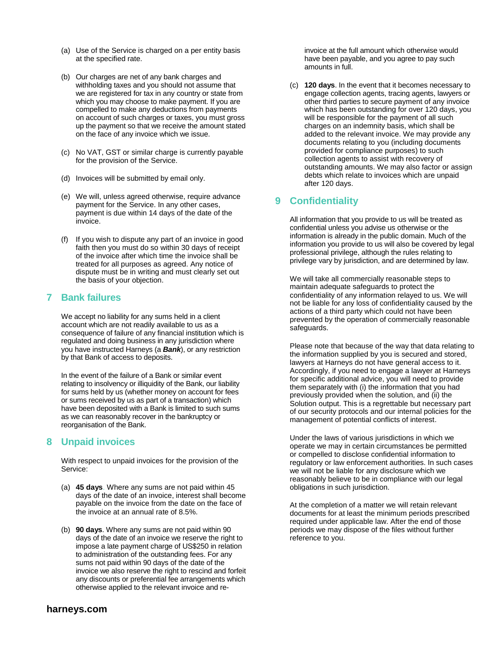- (a) Use of the Service is charged on a per entity basis at the specified rate.
- (b) Our charges are net of any bank charges and withholding taxes and you should not assume that we are registered for tax in any country or state from which you may choose to make payment. If you are compelled to make any deductions from payments on account of such charges or taxes, you must gross up the payment so that we receive the amount stated on the face of any invoice which we issue.
- (c) No VAT, GST or similar charge is currently payable for the provision of the Service.
- (d) Invoices will be submitted by email only.
- (e) We will, unless agreed otherwise, require advance payment for the Service. In any other cases, payment is due within 14 days of the date of the invoice.
- (f) If you wish to dispute any part of an invoice in good faith then you must do so within 30 days of receipt of the invoice after which time the invoice shall be treated for all purposes as agreed. Any notice of dispute must be in writing and must clearly set out the basis of your objection.

#### **7 Bank failures**

We accept no liability for any sums held in a client account which are not readily available to us as a consequence of failure of any financial institution which is regulated and doing business in any jurisdiction where you have instructed Harneys (a *Bank*), or any restriction by that Bank of access to deposits.

In the event of the failure of a Bank or similar event relating to insolvency or illiquidity of the Bank, our liability for sums held by us (whether money on account for fees or sums received by us as part of a transaction) which have been deposited with a Bank is limited to such sums as we can reasonably recover in the bankruptcy or reorganisation of the Bank.

#### **8 Unpaid invoices**

With respect to unpaid invoices for the provision of the Service:

- (a) **45 days**. Where any sums are not paid within 45 days of the date of an invoice, interest shall become payable on the invoice from the date on the face of the invoice at an annual rate of 8.5%.
- (b) **90 days**. Where any sums are not paid within 90 days of the date of an invoice we reserve the right to impose a late payment charge of US\$250 in relation to administration of the outstanding fees. For any sums not paid within 90 days of the date of the invoice we also reserve the right to rescind and forfeit any discounts or preferential fee arrangements which otherwise applied to the relevant invoice and re-

invoice at the full amount which otherwise would have been payable, and you agree to pay such amounts in full.

(c) **120 days**. In the event that it becomes necessary to engage collection agents, tracing agents, lawyers or other third parties to secure payment of any invoice which has been outstanding for over 120 days, you will be responsible for the payment of all such charges on an indemnity basis, which shall be added to the relevant invoice. We may provide any documents relating to you (including documents provided for compliance purposes) to such collection agents to assist with recovery of outstanding amounts. We may also factor or assign debts which relate to invoices which are unpaid after 120 days.

### **9 Confidentiality**

All information that you provide to us will be treated as confidential unless you advise us otherwise or the information is already in the public domain. Much of the information you provide to us will also be covered by legal professional privilege, although the rules relating to privilege vary by jurisdiction, and are determined by law.

We will take all commercially reasonable steps to maintain adequate safeguards to protect the confidentiality of any information relayed to us. We will not be liable for any loss of confidentiality caused by the actions of a third party which could not have been prevented by the operation of commercially reasonable safeguards.

Please note that because of the way that data relating to the information supplied by you is secured and stored, lawyers at Harneys do not have general access to it. Accordingly, if you need to engage a lawyer at Harneys for specific additional advice, you will need to provide them separately with (i) the information that you had previously provided when the solution, and (ii) the Solution output. This is a regrettable but necessary part of our security protocols and our internal policies for the management of potential conflicts of interest.

Under the laws of various jurisdictions in which we operate we may in certain circumstances be permitted or compelled to disclose confidential information to regulatory or law enforcement authorities. In such cases we will not be liable for any disclosure which we reasonably believe to be in compliance with our legal obligations in such jurisdiction.

At the completion of a matter we will retain relevant documents for at least the minimum periods prescribed required under applicable law. After the end of those periods we may dispose of the files without further reference to you.

## **harneys.com** <sup>3</sup>